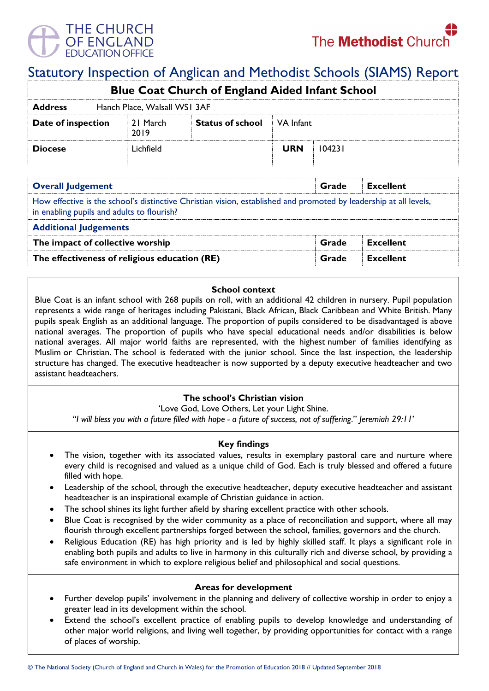

# Statutory Inspection of Anglican and Methodist Schools (SIAMS) Report

| <b>Blue Coat Church of England Aided Infant School</b> |                              |                  |                                   |            |        |  |  |  |  |
|--------------------------------------------------------|------------------------------|------------------|-----------------------------------|------------|--------|--|--|--|--|
| <b>Address</b>                                         | Hanch Place, Walsall WS1 3AF |                  |                                   |            |        |  |  |  |  |
| Date of inspection                                     |                              | 21 March<br>2019 | <b>Status of school</b> VA Infant |            |        |  |  |  |  |
| <b>Diocese</b>                                         |                              | l ichfield       |                                   | <b>URN</b> | 104231 |  |  |  |  |

| <b>Overall Judgement</b>                                                                                                                                        | Grade | Excellent        |  |  |  |  |
|-----------------------------------------------------------------------------------------------------------------------------------------------------------------|-------|------------------|--|--|--|--|
| How effective is the school's distinctive Christian vision, established and promoted by leadership at all levels,<br>in enabling pupils and adults to flourish? |       |                  |  |  |  |  |
| <b>Additional Judgements</b>                                                                                                                                    |       |                  |  |  |  |  |
| The impact of collective worship                                                                                                                                | Grade | Excellent        |  |  |  |  |
| The effectiveness of religious education (RE)                                                                                                                   | Grade | <b>Excellent</b> |  |  |  |  |

#### **School context**

Blue Coat is an infant school with 268 pupils on roll, with an additional 42 children in nursery. Pupil population represents a wide range of heritages including Pakistani, Black African, Black Caribbean and White British. Many pupils speak English as an additional language. The proportion of pupils considered to be disadvantaged is above national averages. The proportion of pupils who have special educational needs and/or disabilities is below national averages. All major world faiths are represented, with the highest number of families identifying as Muslim or Christian. The school is federated with the junior school. Since the last inspection, the leadership structure has changed. The executive headteacher is now supported by a deputy executive headteacher and two assistant headteachers.

# **The school's Christian vision**

'Love God, Love Others, Let your Light Shine.

"*I will bless you with a future filled with hope - a future of success, not of suffering*." *Jeremiah 29:11*'

# **Key findings**

- The vision, together with its associated values, results in exemplary pastoral care and nurture where every child is recognised and valued as a unique child of God. Each is truly blessed and offered a future filled with hope.
- Leadership of the school, through the executive headteacher, deputy executive headteacher and assistant headteacher is an inspirational example of Christian guidance in action.
- The school shines its light further afield by sharing excellent practice with other schools.
- Blue Coat is recognised by the wider community as a place of reconciliation and support, where all may flourish through excellent partnerships forged between the school, families, governors and the church.
- Religious Education (RE) has high priority and is led by highly skilled staff. It plays a significant role in enabling both pupils and adults to live in harmony in this culturally rich and diverse school, by providing a safe environment in which to explore religious belief and philosophical and social questions.

# **Areas for development**

- Further develop pupils' involvement in the planning and delivery of collective worship in order to enjoy a greater lead in its development within the school.
- Extend the school's excellent practice of enabling pupils to develop knowledge and understanding of other major world religions, and living well together, by providing opportunities for contact with a range of places of worship.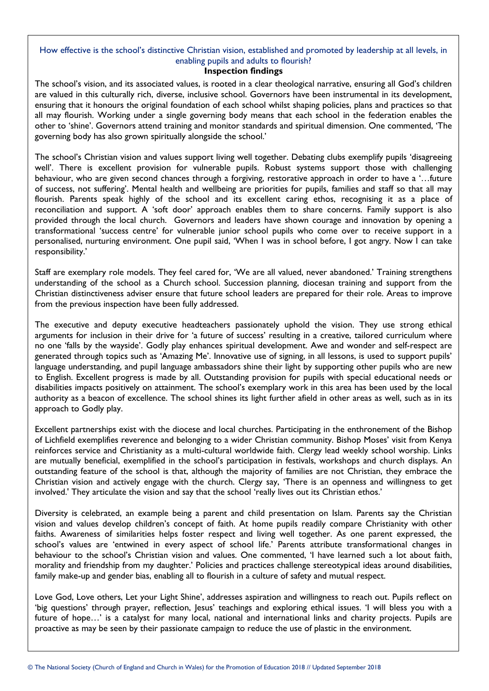# How effective is the school's distinctive Christian vision, established and promoted by leadership at all levels, in enabling pupils and adults to flourish?

#### **Inspection findings**

The school's vision, and its associated values, is rooted in a clear theological narrative, ensuring all God's children are valued in this culturally rich, diverse, inclusive school. Governors have been instrumental in its development, ensuring that it honours the original foundation of each school whilst shaping policies, plans and practices so that all may flourish. Working under a single governing body means that each school in the federation enables the other to 'shine'. Governors attend training and monitor standards and spiritual dimension. One commented, 'The governing body has also grown spiritually alongside the school.'

The school's Christian vision and values support living well together. Debating clubs exemplify pupils 'disagreeing well'. There is excellent provision for vulnerable pupils. Robust systems support those with challenging behaviour, who are given second chances through a forgiving, restorative approach in order to have a '…future of success, not suffering'. Mental health and wellbeing are priorities for pupils, families and staff so that all may flourish. Parents speak highly of the school and its excellent caring ethos, recognising it as a place of reconciliation and support. A 'soft door' approach enables them to share concerns. Family support is also provided through the local church. Governors and leaders have shown courage and innovation by opening a transformational 'success centre' for vulnerable junior school pupils who come over to receive support in a personalised, nurturing environment. One pupil said, 'When I was in school before, I got angry. Now I can take responsibility.'

Staff are exemplary role models. They feel cared for, 'We are all valued, never abandoned.' Training strengthens understanding of the school as a Church school. Succession planning, diocesan training and support from the Christian distinctiveness adviser ensure that future school leaders are prepared for their role. Areas to improve from the previous inspection have been fully addressed.

The executive and deputy executive headteachers passionately uphold the vision. They use strong ethical arguments for inclusion in their drive for 'a future of success' resulting in a creative, tailored curriculum where no one 'falls by the wayside'. Godly play enhances spiritual development. Awe and wonder and self-respect are generated through topics such as 'Amazing Me'. Innovative use of signing, in all lessons, is used to support pupils' language understanding, and pupil language ambassadors shine their light by supporting other pupils who are new to English. Excellent progress is made by all. Outstanding provision for pupils with special educational needs or disabilities impacts positively on attainment. The school's exemplary work in this area has been used by the local authority as a beacon of excellence. The school shines its light further afield in other areas as well, such as in its approach to Godly play.

Excellent partnerships exist with the diocese and local churches. Participating in the enthronement of the Bishop of Lichfield exemplifies reverence and belonging to a wider Christian community. Bishop Moses' visit from Kenya reinforces service and Christianity as a multi-cultural worldwide faith. Clergy lead weekly school worship. Links are mutually beneficial, exemplified in the school's participation in festivals, workshops and church displays. An outstanding feature of the school is that, although the majority of families are not Christian, they embrace the Christian vision and actively engage with the church. Clergy say, 'There is an openness and willingness to get involved.' They articulate the vision and say that the school 'really lives out its Christian ethos.'

Diversity is celebrated, an example being a parent and child presentation on Islam. Parents say the Christian vision and values develop children's concept of faith. At home pupils readily compare Christianity with other faiths. Awareness of similarities helps foster respect and living well together. As one parent expressed, the school's values are 'entwined in every aspect of school life.' Parents attribute transformational changes in behaviour to the school's Christian vision and values. One commented, 'I have learned such a lot about faith, morality and friendship from my daughter.' Policies and practices challenge stereotypical ideas around disabilities, family make-up and gender bias, enabling all to flourish in a culture of safety and mutual respect.

Love God, Love others, Let your Light Shine', addresses aspiration and willingness to reach out. Pupils reflect on 'big questions' through prayer, reflection, Jesus' teachings and exploring ethical issues. 'I will bless you with a future of hope…' is a catalyst for many local, national and international links and charity projects. Pupils are proactive as may be seen by their passionate campaign to reduce the use of plastic in the environment.